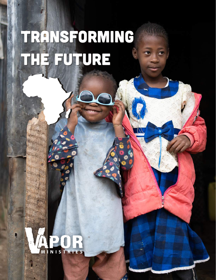# transforming THE FUTURE

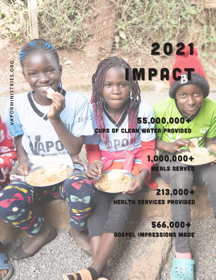# 2021 IMPAGT

55,000,000+ CUPS OF CLEAN WATER PROVIDED

 $2019$ 

1,000,000+ MEALS SERVED

213,000+ HEALTH SERVICES PROVIDED

566,000+ GOSPEL IMPRESSIONS MADE

hp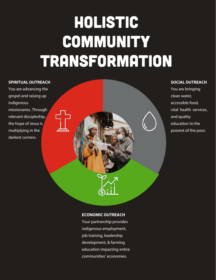### Holistic **COMMUNITY** transformation

#### **SPIRITUAL OUTREACH**

You are advancing the gospel and raising up indigenous missionaries. Through relevant discipleship, the hope of Jesus is multiplying in the darkest corners.



#### **SOCIAL OUTREACH**

You are bringing clean water, accessible food, vital health services, and quality education to the poorest of the poor.

#### **ECONOMIC OUTREACH**

Your partnership provides indigenous employment, job training, leadership development, & farming education impacting entire communities' economies.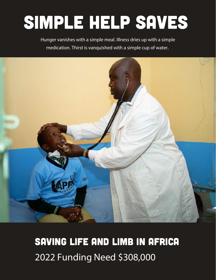## simple help saves

Hunger vanishes with a simple meal. Illness dries up with a simple medication. Thirst is vanquished with a simple cup of water.



### SAVING LIFE AND LIMB IN AFRICA 2022 Funding Need \$308,000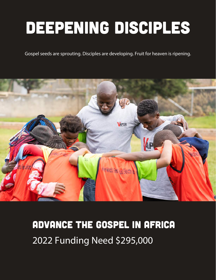### deepening disciples

Gospel seeds are sprouting. Disciples are developing. Fruit for heaven is ripening.



### ADVANCE THE GOSPEL IN AFRICA 2022 Funding Need \$295,000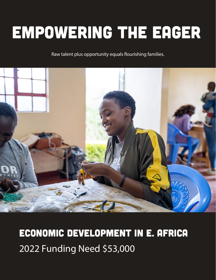## empowering the eager

Raw talent plus opportunity equals flourishing families.



### ECONOMIC DEVELOPMENT IN E. AFRICA 2022 Funding Need \$53,000